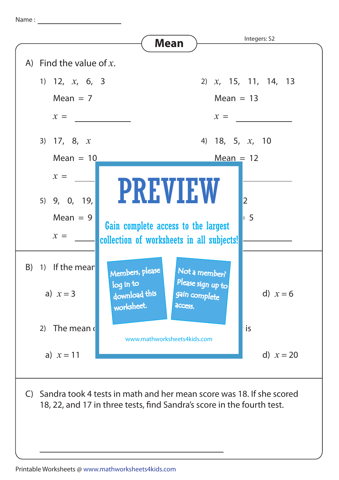Name : <u>\_\_\_\_\_\_\_\_\_\_\_\_\_\_\_\_\_\_\_\_\_\_\_</u>